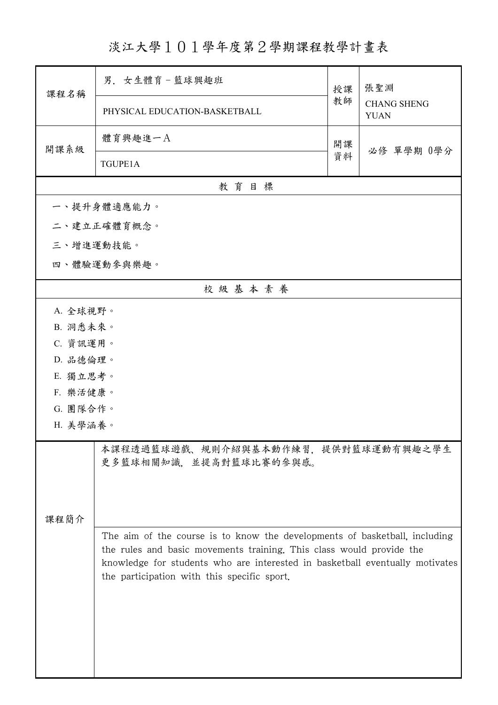淡江大學101學年度第2學期課程教學計畫表

|           | 男. 女生體育-籃球興趣班                                                                                                                                                                                                                                                                     | 授課 | 張聖淵<br><b>CHANG SHENG</b><br><b>YUAN</b> |  |  |  |
|-----------|-----------------------------------------------------------------------------------------------------------------------------------------------------------------------------------------------------------------------------------------------------------------------------------|----|------------------------------------------|--|--|--|
| 課程名稱      | PHYSICAL EDUCATION-BASKETBALL                                                                                                                                                                                                                                                     | 教師 |                                          |  |  |  |
| 開課系級      | 體育興趣進一A                                                                                                                                                                                                                                                                           | 開課 | 必修 單學期 0學分                               |  |  |  |
|           | TGUPE1A                                                                                                                                                                                                                                                                           | 資料 |                                          |  |  |  |
| 教育目標      |                                                                                                                                                                                                                                                                                   |    |                                          |  |  |  |
|           | 一、提升身體適應能力。                                                                                                                                                                                                                                                                       |    |                                          |  |  |  |
|           | 二、建立正確體育概念。                                                                                                                                                                                                                                                                       |    |                                          |  |  |  |
| 三、增進運動技能。 |                                                                                                                                                                                                                                                                                   |    |                                          |  |  |  |
|           | 四、體驗運動參與樂趣。                                                                                                                                                                                                                                                                       |    |                                          |  |  |  |
|           | 校級基本素養                                                                                                                                                                                                                                                                            |    |                                          |  |  |  |
| A. 全球視野。  |                                                                                                                                                                                                                                                                                   |    |                                          |  |  |  |
| B. 洞悉未來。  |                                                                                                                                                                                                                                                                                   |    |                                          |  |  |  |
| C. 資訊運用。  |                                                                                                                                                                                                                                                                                   |    |                                          |  |  |  |
| D. 品德倫理。  |                                                                                                                                                                                                                                                                                   |    |                                          |  |  |  |
| E. 獨立思考。  |                                                                                                                                                                                                                                                                                   |    |                                          |  |  |  |
|           | F. 樂活健康。                                                                                                                                                                                                                                                                          |    |                                          |  |  |  |
|           | G. 團隊合作。                                                                                                                                                                                                                                                                          |    |                                          |  |  |  |
| H. 美學涵養。  |                                                                                                                                                                                                                                                                                   |    |                                          |  |  |  |
|           | 本課程透過籃球遊戲、規則介紹與基本動作練習,提供對籃球運動有興趣之學生<br>更多籃球相關知識,並提高對籃球比賽的參與感。                                                                                                                                                                                                                     |    |                                          |  |  |  |
| 课程简介      |                                                                                                                                                                                                                                                                                   |    |                                          |  |  |  |
|           | The aim of the course is to know the developments of basketball, including<br>the rules and basic movements training. This class would provide the<br>knowledge for students who are interested in basketball eventually motivates<br>the participation with this specific sport. |    |                                          |  |  |  |
|           |                                                                                                                                                                                                                                                                                   |    |                                          |  |  |  |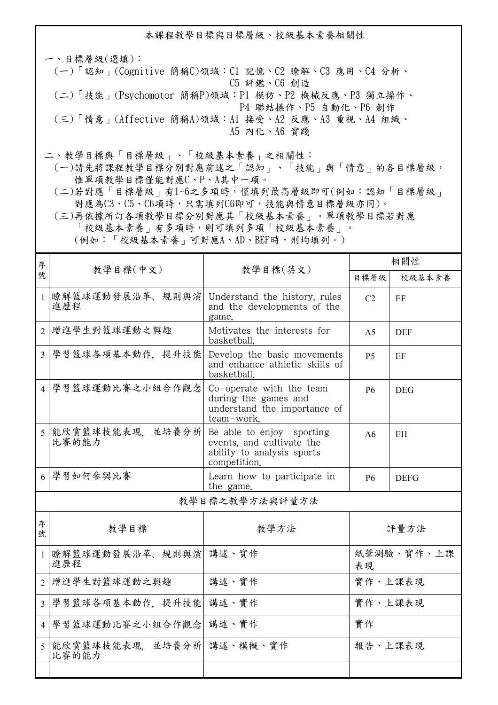本課程教學目標與目標層級、校級基本素養相關性

一、目標層級(選填): (一)「認知」(Cognitive 簡稱C)領域:C1 記憶、C2 瞭解、C3 應用、C4 分析、 C5 評鑑、C6 創造 (二)「技能」(Psychomotor 簡稱P)領域:P1 模仿、P2 機械反應、P3 獨立操作、 P4 聯結操作、P5 自動化、P6 創作 (三)「情意」(Affective 簡稱A)領域:A1 接受、A2 反應、A3 重視、A4 組織、 A5 內化、A6 實踐

二、教學目標與「目標層級」、「校級基本素養」之相關性:

 (一)請先將課程教學目標分別對應前述之「認知」、「技能」與「情意」的各目標層級, 惟單項教學目標僅能對應C、P、A其中一項。

 (二)若對應「目標層級」有1~6之多項時,僅填列最高層級即可(例如:認知「目標層級」 對應為C3、C5、C6項時,只需填列C6即可,技能與情意目標層級亦同)。

 (三)再依據所訂各項教學目標分別對應其「校級基本素養」。單項教學目標若對應 「校級基本素養」有多項時,則可填列多項「校級基本素養」。 (例如:「校級基本素養」可對應A、AD、BEF時,則均填列。)

| 序              | 教學目標(中文)                           |                                                                                                      | 相關性              |             |  |
|----------------|------------------------------------|------------------------------------------------------------------------------------------------------|------------------|-------------|--|
| 號              |                                    | 教學目標(英文)                                                                                             | 目標層級             | 校級基本素養      |  |
| $\mathbf{1}$   | 瞭解籃球運動發展沿革、規則與演<br>進歷程             | Understand the history, rules<br>and the developments of the<br>game.                                | C <sub>2</sub>   | EF          |  |
| 2              | 增進學生對籃球運動之興趣                       | Motivates the interests for<br>basketball.                                                           | A <sub>5</sub>   | <b>DEF</b>  |  |
| $\overline{3}$ | 學習籃球各項基本動作, 提升技能                   | Develop the basic movements<br>and enhance athletic skills of<br>basketball.                         | <b>P5</b>        | EF          |  |
| $\overline{4}$ | 學習籃球運動比賽之小組合作觀念                    | Co-operate with the team<br>during the games and<br>understand the importance of<br>team-work.       | <b>P6</b>        | <b>DEG</b>  |  |
| 5              | 能欣賞籃球技能表現、並培養分析<br>比賽的能力           | Be able to enjoy sporting<br>events, and cultivate the<br>ability to analysis sports<br>competition. | A6               | EH          |  |
|                | 6 學習如何參與比賽                         | Learn how to participate in<br>the game.                                                             | <b>P6</b>        | <b>DEFG</b> |  |
| 教學目標之教學方法與評量方法 |                                    |                                                                                                      |                  |             |  |
| 序<br>號         | 教學目標                               | 教學方法                                                                                                 | 評量方法             |             |  |
| $\mathbf{1}$   | 瞭解籃球運動發展沿革、規則與演 講述、實作<br>進歷程       |                                                                                                      | 紙筆測驗、實作、上課<br>表現 |             |  |
| $\overline{2}$ | 增進學生對籃球運動之興趣                       | 講述、實作                                                                                                | 實作、上課表現          |             |  |
| $\overline{3}$ | 學習籃球各項基本動作, 提升技能                   | 講述、實作                                                                                                | 實作、上課表現          |             |  |
| $\vert$ 4      | 學習籃球運動比賽之小組合作觀念                    | 講述、實作                                                                                                | 實作               |             |  |
| 5              | 能欣賞籃球技能表現, 並培養分析 講述、模擬、實作<br>比賽的能力 |                                                                                                      | 報告、上課表現          |             |  |
|                |                                    |                                                                                                      |                  |             |  |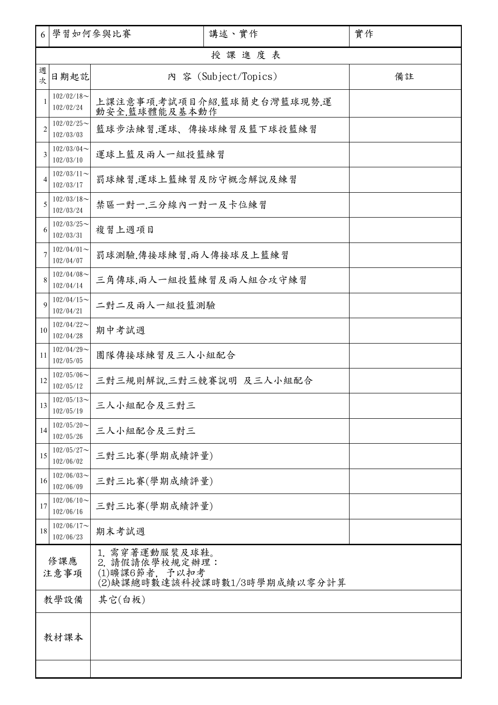| 6              | 學習如何參與比賽                      |                                                                                    | 講述、實作                      | 實作 |  |  |  |  |
|----------------|-------------------------------|------------------------------------------------------------------------------------|----------------------------|----|--|--|--|--|
|                | 授課進度表                         |                                                                                    |                            |    |  |  |  |  |
| 週<br>坎         | 日期起訖                          |                                                                                    | 內 容 (Subject/Topics)       | 備註 |  |  |  |  |
| 1              | $102/02/18$ ~<br>102/02/24    | 動安全.籃球體能及基本動作                                                                      | 上課注意事項.考試項目介紹.籃球簡史台灣籃球現勢.運 |    |  |  |  |  |
| $\overline{2}$ | $102/02/25$ ~<br>102/03/03    |                                                                                    | 籃球步法練習,運球、傳接球練習及籃下球投籃練習    |    |  |  |  |  |
| 3              | $102/03/04$ ~<br>102/03/10    | 運球上籃及兩人一組投籃練習                                                                      |                            |    |  |  |  |  |
| 4              | $102/03/11$ ~<br>102/03/17    | 罰球練習.運球上籃練習及防守概念解說及練習                                                              |                            |    |  |  |  |  |
| 5              | $102/03/18$ ~<br>102/03/24    | 禁區一對一.三分線內一對一及卡位練習                                                                 |                            |    |  |  |  |  |
| 6              | $102/03/25$ ~<br>102/03/31    | 複習上週項目                                                                             |                            |    |  |  |  |  |
| 7              | $102/04/01$ ~<br>102/04/07    | 罰球測驗.傳接球練習.兩人傳接球及上籃練習                                                              |                            |    |  |  |  |  |
| 8              | $102/04/08$ ~<br>102/04/14    | 三角傳球,兩人一組投籃練習及兩人組合攻守練習                                                             |                            |    |  |  |  |  |
| 9              | $102/04/15$ ~<br>102/04/21    | 二對二及兩人一組投籃測驗                                                                       |                            |    |  |  |  |  |
| 10             | $102/04/22$ ~<br>102/04/28    | 期中考試週                                                                              |                            |    |  |  |  |  |
| 11             | $102/04/29$ ~<br>102/05/05    | 團隊傳接球練習及三人小組配合                                                                     |                            |    |  |  |  |  |
| 12             | $102/05/06 \sim$<br>102/05/12 |                                                                                    | 三對三規則解說.三對三競賽說明 及三人小組配合    |    |  |  |  |  |
| 13             | $102/05/13$ ~<br>102/05/19    | 三人小組配合及三對三                                                                         |                            |    |  |  |  |  |
| 14             | $102/05/20$ ~<br>102/05/26    | 三人小組配合及三對三                                                                         |                            |    |  |  |  |  |
| 15             | $102/05/27$ ~<br>102/06/02    | 三對三比賽(學期成績評量)                                                                      |                            |    |  |  |  |  |
| 16             | $102/06/03$ ~<br>102/06/09    | 三對三比賽(學期成績評量)                                                                      |                            |    |  |  |  |  |
| 17             | $102/06/10$ ~<br>102/06/16    | 三對三比賽(學期成績評量)                                                                      |                            |    |  |  |  |  |
| 18             | $102/06/17$ ~<br>102/06/23    | 期末考試週                                                                              |                            |    |  |  |  |  |
| 修課應<br>注意事項    |                               | 1. 需穿著運動服裝及球鞋。<br>2. 請假請依學校規定辦理:<br>(1)曠課6節者, 予以扣考<br>(2)缺課總時數達該科授課時數1/3時學期成績以零分計算 |                            |    |  |  |  |  |
|                | 教學設備                          | 其它(白板)                                                                             |                            |    |  |  |  |  |
| 教材課本           |                               |                                                                                    |                            |    |  |  |  |  |